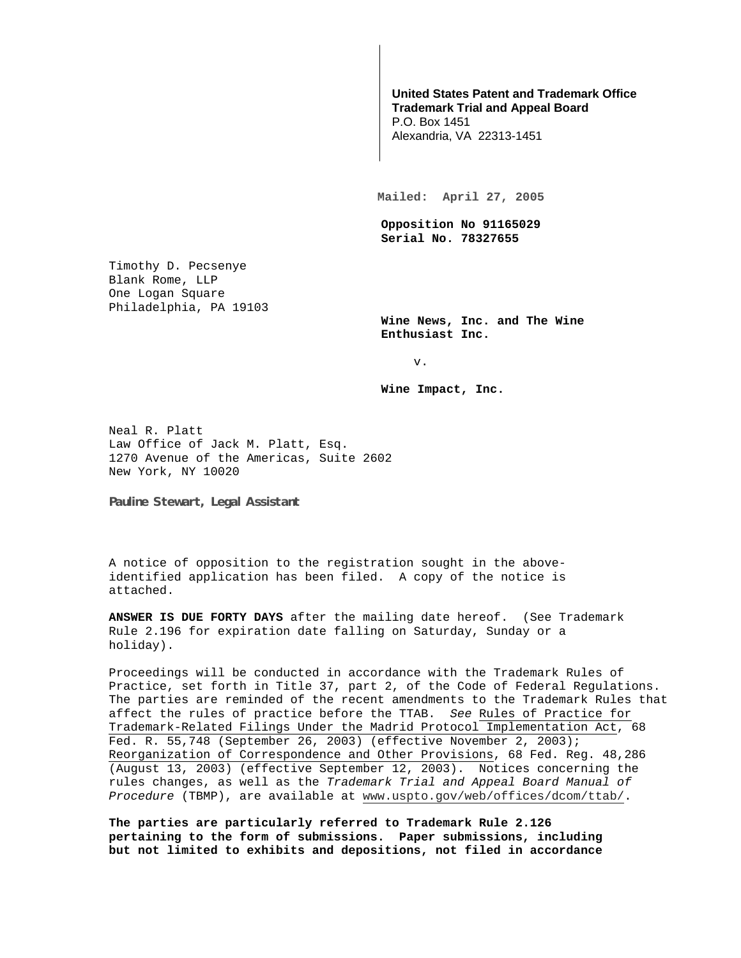## **United States Patent and Trademark Office Trademark Trial and Appeal Board**

P.O. Box 1451 Alexandria, VA 22313-1451

**Mailed: April 27, 2005** 

**Opposition No 91165029 Serial No. 78327655** 

Timothy D. Pecsenye Blank Rome, LLP One Logan Square Philadelphia, PA 19103

> **Wine News, Inc. and The Wine Enthusiast Inc.**

> > v.

**Wine Impact, Inc.** 

Neal R. Platt Law Office of Jack M. Platt, Esq. 1270 Avenue of the Americas, Suite 2602 New York, NY 10020

**Pauline Stewart, Legal Assistant** 

A notice of opposition to the registration sought in the aboveidentified application has been filed. A copy of the notice is attached.

**ANSWER IS DUE FORTY DAYS** after the mailing date hereof. (See Trademark Rule 2.196 for expiration date falling on Saturday, Sunday or a holiday).

Proceedings will be conducted in accordance with the Trademark Rules of Practice, set forth in Title 37, part 2, of the Code of Federal Regulations. The parties are reminded of the recent amendments to the Trademark Rules that affect the rules of practice before the TTAB. See Rules of Practice for Trademark-Related Filings Under the Madrid Protocol Implementation Act, 68 Fed. R. 55,748 (September 26, 2003) (effective November 2, 2003); Reorganization of Correspondence and Other Provisions, 68 Fed. Reg. 48,286 (August 13, 2003) (effective September 12, 2003). Notices concerning the rules changes, as well as the Trademark Trial and Appeal Board Manual of Procedure (TBMP), are available at www.uspto.gov/web/offices/dcom/ttab/.

**The parties are particularly referred to Trademark Rule 2.126 pertaining to the form of submissions. Paper submissions, including but not limited to exhibits and depositions, not filed in accordance**